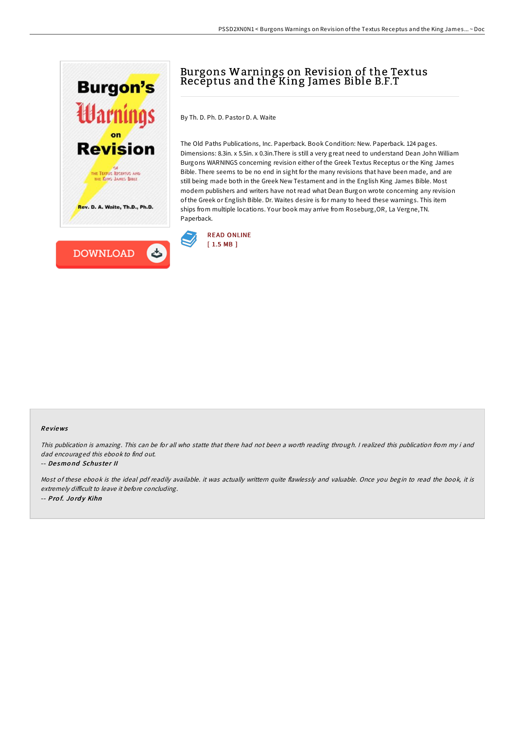



## Burgons Warnings on Revision of the Textus Receptus and the King James Bible B.F.T

By Th. D. Ph. D. Pastor D. A. Waite

The Old Paths Publications, Inc. Paperback. Book Condition: New. Paperback. 124 pages. Dimensions: 8.3in. x 5.5in. x 0.3in.There is still a very great need to understand Dean John William Burgons WARNINGS concerning revision either of the Greek Textus Receptus or the King James Bible. There seems to be no end in sight for the many revisions that have been made, and are still being made both in the Greek New Testament and in the English King James Bible. Most modern publishers and writers have not read what Dean Burgon wrote concerning any revision of the Greek or English Bible. Dr. Waites desire is for many to heed these warnings. This item ships from multiple locations. Your book may arrive from Roseburg,OR, La Vergne,TN. Paperback.



## Re views

This publication is amazing. This can be for all who statte that there had not been <sup>a</sup> worth reading through. <sup>I</sup> realized this publication from my i and dad encouraged this ebook to find out.

## -- De smo nd Schus te <sup>r</sup> II

Most of these ebook is the ideal pdf readily available. it was actually writtern quite flawlessly and valuable. Once you begin to read the book, it is extremely difficult to leave it before concluding. -- Prof. Jordy Kihn